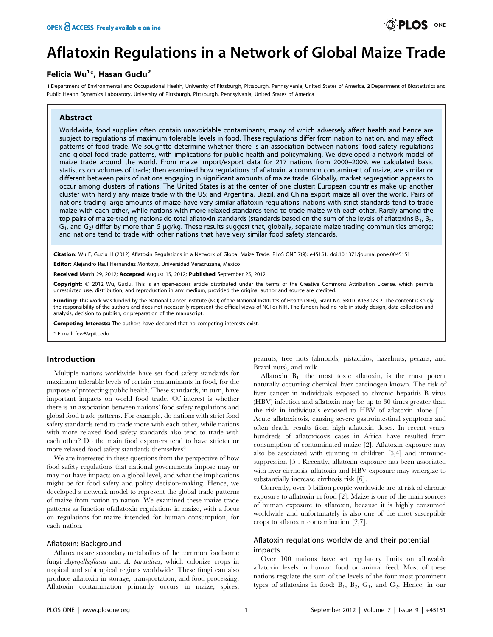# Aflatoxin Regulations in a Network of Global Maize Trade

## Felicia Wu<sup>1</sup>\*, Hasan Guclu<sup>2</sup>

1 Department of Environmental and Occupational Health, University of Pittsburgh, Pittsburgh, Pennsylvania, United States of America, 2 Department of Biostatistics and Public Health Dynamics Laboratory, University of Pittsburgh, Pittsburgh, Pennsylvania, United States of America

#### Abstract

Worldwide, food supplies often contain unavoidable contaminants, many of which adversely affect health and hence are subject to regulations of maximum tolerable levels in food. These regulations differ from nation to nation, and may affect patterns of food trade. We soughtto determine whether there is an association between nations' food safety regulations and global food trade patterns, with implications for public health and policymaking. We developed a network model of maize trade around the world. From maize import/export data for 217 nations from 2000–2009, we calculated basic statistics on volumes of trade; then examined how regulations of aflatoxin, a common contaminant of maize, are similar or different between pairs of nations engaging in significant amounts of maize trade. Globally, market segregation appears to occur among clusters of nations. The United States is at the center of one cluster; European countries make up another cluster with hardly any maize trade with the US; and Argentina, Brazil, and China export maize all over the world. Pairs of nations trading large amounts of maize have very similar aflatoxin regulations: nations with strict standards tend to trade maize with each other, while nations with more relaxed standards tend to trade maize with each other. Rarely among the top pairs of maize-trading nations do total aflatoxin standards (standards based on the sum of the levels of aflatoxins  $B_1$ ,  $B_2$ ,  $G_1$ , and  $G_2$ ) differ by more than 5 µg/kg. These results suggest that, globally, separate maize trading communities emerge; and nations tend to trade with other nations that have very similar food safety standards.

Citation: Wu F, Guclu H (2012) Aflatoxin Regulations in a Network of Global Maize Trade. PLoS ONE 7(9): e45151. doi:10.1371/journal.pone.0045151

Editor: Alejandro Raul Hernandez Montoya, Universidad Veracruzana, Mexico

Received March 29, 2012; Accepted August 15, 2012; Published September 25, 2012

Copyright: © 2012 Wu, Guclu. This is an open-access article distributed under the terms of the Creative Commons Attribution License, which permits unrestricted use, distribution, and reproduction in any medium, provided the original author and source are credited.

Funding: This work was funded by the National Cancer Institute (NCI) of the National Institutes of Health (NIH), Grant No. 5R01CA153073-2. The content is solely the responsibility of the authors and does not necessarily represent the official views of NCI or NIH. The funders had no role in study design, data collection and analysis, decision to publish, or preparation of the manuscript.

Competing Interests: The authors have declared that no competing interests exist.

\* E-mail: few8@pitt.edu

#### Introduction

Multiple nations worldwide have set food safety standards for maximum tolerable levels of certain contaminants in food, for the purpose of protecting public health. These standards, in turn, have important impacts on world food trade. Of interest is whether there is an association between nations' food safety regulations and global food trade patterns. For example, do nations with strict food safety standards tend to trade more with each other, while nations with more relaxed food safety standards also tend to trade with each other? Do the main food exporters tend to have stricter or more relaxed food safety standards themselves?

We are interested in these questions from the perspective of how food safety regulations that national governments impose may or may not have impacts on a global level, and what the implications might be for food safety and policy decision-making. Hence, we developed a network model to represent the global trade patterns of maize from nation to nation. We examined these maize trade patterns as function ofaflatoxin regulations in maize, with a focus on regulations for maize intended for human consumption, for each nation.

#### Aflatoxin: Background

Aflatoxins are secondary metabolites of the common foodborne fungi Aspergillusflavus and A. parasiticus, which colonize crops in tropical and subtropical regions worldwide. These fungi can also produce aflatoxin in storage, transportation, and food processing. Aflatoxin contamination primarily occurs in maize, spices, peanuts, tree nuts (almonds, pistachios, hazelnuts, pecans, and Brazil nuts), and milk.

Aflatoxin  $B_1$ , the most toxic aflatoxin, is the most potent naturally occurring chemical liver carcinogen known. The risk of liver cancer in individuals exposed to chronic hepatitis B virus (HBV) infection and aflatoxin may be up to 30 times greater than the risk in individuals exposed to HBV of aflatoxin alone [1]. Acute aflatoxicosis, causing severe gastrointestinal symptoms and often death, results from high aflatoxin doses. In recent years, hundreds of aflatoxicosis cases in Africa have resulted from consumption of contaminated maize [2]. Aflatoxin exposure may also be associated with stunting in children [3,4] and immunosuppression [5]. Recently, aflatoxin exposure has been associated with liver cirrhosis; aflatoxin and HBV exposure may synergize to substantially increase cirrhosis risk [6].

Currently, over 5 billion people worldwide are at risk of chronic exposure to aflatoxin in food [2]. Maize is one of the main sources of human exposure to aflatoxin, because it is highly consumed worldwide and unfortunately is also one of the most susceptible crops to aflatoxin contamination [2,7].

### Aflatoxin regulations worldwide and their potential impacts

Over 100 nations have set regulatory limits on allowable aflatoxin levels in human food or animal feed. Most of these nations regulate the sum of the levels of the four most prominent types of aflatoxins in food:  $B_1$ ,  $B_2$ ,  $G_1$ , and  $G_2$ . Hence, in our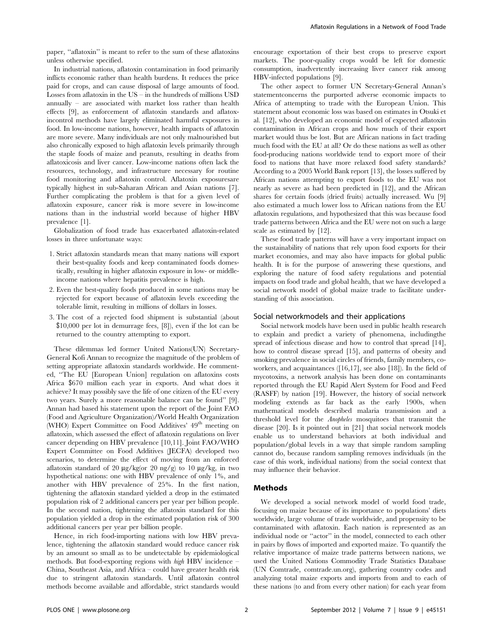paper, "aflatoxin" is meant to refer to the sum of these aflatoxins unless otherwise specified.

In industrial nations, aflatoxin contamination in food primarily inflicts economic rather than health burdens. It reduces the price paid for crops, and can cause disposal of large amounts of food. Losses from aflatoxin in the US – in the hundreds of millions USD annually – are associated with market loss rather than health effects [9], as enforcement of aflatoxin standards and aflatoxincontrol methods have largely eliminated harmful exposures in food. In low-income nations, however, health impacts of aflatoxin are more severe. Many individuals are not only malnourished but also chronically exposed to high aflatoxin levels primarily through the staple foods of maize and peanuts, resulting in deaths from aflatoxicosis and liver cancer. Low-income nations often lack the resources, technology, and infrastructure necessary for routine food monitoring and aflatoxin control. Aflatoxin exposuresare typically highest in sub-Saharan African and Asian nations [7]. Further complicating the problem is that for a given level of aflatoxin exposure, cancer risk is more severe in low-income nations than in the industrial world because of higher HBV prevalence [1].

Globalization of food trade has exacerbated aflatoxin-related losses in three unfortunate ways:

- 1. Strict aflatoxin standards mean that many nations will export their best-quality foods and keep contaminated foods domestically, resulting in higher aflatoxin exposure in low- or middleincome nations where hepatitis prevalence is high.
- 2. Even the best-quality foods produced in some nations may be rejected for export because of aflatoxin levels exceeding the tolerable limit, resulting in millions of dollars in losses.
- 3. The cost of a rejected food shipment is substantial (about \$10,000 per lot in demurrage fees, [8]), even if the lot can be returned to the country attempting to export.

These dilemmas led former United Nations(UN) Secretary-General Kofi Annan to recognize the magnitude of the problem of setting appropriate aflatoxin standards worldwide. He commented, ''The EU [European Union] regulation on aflatoxins costs Africa \$670 million each year in exports. And what does it achieve? It may possibly save the life of one citizen of the EU every two years. Surely a more reasonable balance can be found'' [9]. Annan had based his statement upon the report of the Joint FAO (Food and Agriculture Organization)/World Health Organization (WHO) Expert Committee on Food Additives' 49<sup>th</sup> meeting on aflatoxin, which assessed the effect of aflatoxin regulations on liver cancer depending on HBV prevalence [10,11]. Joint FAO/WHO Expert Committee on Food Additives (JECFA) developed two scenarios, to determine the effect of moving from an enforced aflatoxin standard of 20  $\mu$ g/kg(or 20 ng/g) to 10  $\mu$ g/kg, in two hypothetical nations: one with HBV prevalence of only 1%, and another with HBV prevalence of 25%. In the first nation, tightening the aflatoxin standard yielded a drop in the estimated population risk of 2 additional cancers per year per billion people. In the second nation, tightening the aflatoxin standard for this population yielded a drop in the estimated population risk of 300 additional cancers per year per billion people.

Hence, in rich food-importing nations with low HBV prevalence, tightening the aflatoxin standard would reduce cancer risk by an amount so small as to be undetectable by epidemiological methods. But food-exporting regions with high HBV incidence – China, Southeast Asia, and Africa – could have greater health risk due to stringent aflatoxin standards. Until aflatoxin control methods become available and affordable, strict standards would encourage exportation of their best crops to preserve export markets. The poor-quality crops would be left for domestic consumption, inadvertently increasing liver cancer risk among HBV-infected populations [9].

The other aspect to former UN Secretary-General Annan's statementconcerns the purported adverse economic impacts to Africa of attempting to trade with the European Union. This statement about economic loss was based on estimates in Otsuki et al. [12], who developed an economic model of expected aflatoxin contamination in African crops and how much of their export market would thus be lost. But are African nations in fact trading much food with the EU at all? Or do these nations as well as other food-producing nations worldwide tend to export more of their food to nations that have more relaxed food safety standards? According to a 2005 World Bank report [13], the losses suffered by African nations attempting to export foods to the EU was not nearly as severe as had been predicted in [12], and the African shares for certain foods (dried fruits) actually increased. Wu [9] also estimated a much lower loss to African nations from the EU aflatoxin regulations, and hypothesized that this was because food trade patterns between Africa and the EU were not on such a large scale as estimated by [12].

These food trade patterns will have a very important impact on the sustainability of nations that rely upon food exports for their market economies, and may also have impacts for global public health. It is for the purpose of answering these questions, and exploring the nature of food safety regulations and potential impacts on food trade and global health, that we have developed a social network model of global maize trade to facilitate understanding of this association.

#### Social networkmodels and their applications

Social network models have been used in public health research to explain and predict a variety of phenomena, includingthe spread of infectious disease and how to control that spread [14], how to control disease spread [15], and patterns of obesity and smoking prevalence in social circles of friends, family members, coworkers, and acquaintances ([16,17], see also [18]). In the field of mycotoxins, a network analysis has been done on contaminants reported through the EU Rapid Alert System for Food and Feed (RASFF) by nation [19]. However, the history of social network modeling extends as far back as the early 1900s, when mathematical models described malaria transmission and a threshold level for the Anopheles mosquitoes that transmit the disease [20]. Is it pointed out in [21] that social network models enable us to understand behaviors at both individual and population/global levels in a way that simple random sampling cannot do, because random sampling removes individuals (in the case of this work, individual nations) from the social context that may influence their behavior.

#### Methods

We developed a social network model of world food trade, focusing on maize because of its importance to populations' diets worldwide, large volume of trade worldwide, and propensity to be contaminated with aflatoxin. Each nation is represented as an individual node or ''actor'' in the model, connected to each other in pairs by flows of imported and exported maize. To quantify the relative importance of maize trade patterns between nations, we used the United Nations Commodity Trade Statistics Database (UN Comtrade, comtrade.un.org), gathering country codes and analyzing total maize exports and imports from and to each of these nations (to and from every other nation) for each year from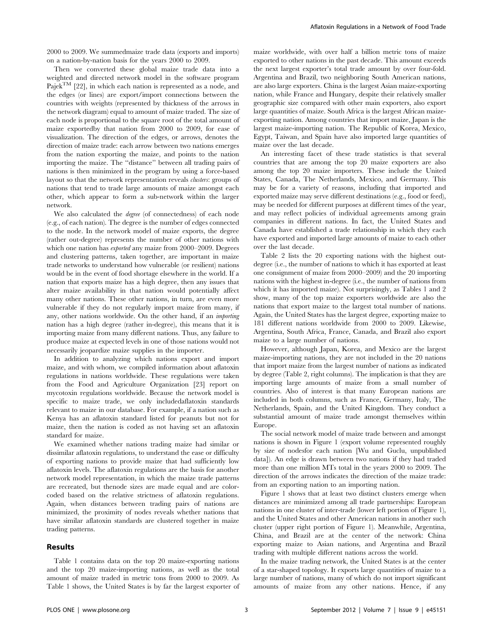2000 to 2009. We summedmaize trade data (exports and imports) on a nation-by-nation basis for the years 2000 to 2009.

Then we converted these global maize trade data into a weighted and directed network model in the software program Pajek<sup>TM</sup> [22], in which each nation is represented as a node, and the edges (or lines) are export/import connections between the countries with weights (represented by thickness of the arrows in the network diagram) equal to amount of maize traded. The size of each node is proportional to the square root of the total amount of maize exportedby that nation from 2000 to 2009, for ease of visualization. The direction of the edges, or arrows, denotes the direction of maize trade: each arrow between two nations emerges from the nation exporting the maize, and points to the nation importing the maize. The ''distance'' between all trading pairs of nations is then minimized in the program by using a force-based layout so that the network representation reveals clusters: groups of nations that tend to trade large amounts of maize amongst each other, which appear to form a sub-network within the larger network.

We also calculated the *degree* (of connectedness) of each node (e.g., of each nation). The degree is the number of edges connected to the node. In the network model of maize exports, the degree (rather out-degree) represents the number of other nations with which one nation has exported any maize from 2000–2009. Degrees and clustering patterns, taken together, are important in maize trade networks to understand how vulnerable (or resilient) nations would be in the event of food shortage elsewhere in the world. If a nation that exports maize has a high degree, then any issues that alter maize availability in that nation would potentially affect many other nations. These other nations, in turn, are even more vulnerable if they do not regularly import maize from many, if any, other nations worldwide. On the other hand, if an importing nation has a high degree (rather in-degree), this means that it is importing maize from many different nations. Thus, any failure to produce maize at expected levels in one of those nations would not necessarily jeopardize maize supplies in the importer.

In addition to analyzing which nations export and import maize, and with whom, we compiled information about aflatoxin regulations in nations worldwide. These regulations were taken from the Food and Agriculture Organization [23] report on mycotoxin regulations worldwide. Because the network model is specific to maize trade, we only includedaflatoxin standards relevant to maize in our database. For example, if a nation such as Kenya has an aflatoxin standard listed for peanuts but not for maize, then the nation is coded as not having set an aflatoxin standard for maize.

We examined whether nations trading maize had similar or dissimilar aflatoxin regulations, to understand the ease or difficulty of exporting nations to provide maize that had sufficiently low aflatoxin levels. The aflatoxin regulations are the basis for another network model representation, in which the maize trade patterns are recreated, but thenode sizes are made equal and are colorcoded based on the relative strictness of aflatoxin regulations. Again, when distances between trading pairs of nations are minimized, the proximity of nodes reveals whether nations that have similar aflatoxin standards are clustered together in maize trading patterns.

#### Results

Table 1 contains data on the top 20 maize-exporting nations and the top 20 maize-importing nations, as well as the total amount of maize traded in metric tons from 2000 to 2009. As Table 1 shows, the United States is by far the largest exporter of maize worldwide, with over half a billion metric tons of maize exported to other nations in the past decade. This amount exceeds the next largest exporter's total trade amount by over four-fold. Argentina and Brazil, two neighboring South American nations, are also large exporters. China is the largest Asian maize-exporting nation, while France and Hungary, despite their relatively smaller geographic size compared with other main exporters, also export large quantities of maize. South Africa is the largest African maizeexporting nation. Among countries that import maize, Japan is the largest maize-importing nation. The Republic of Korea, Mexico, Egypt, Taiwan, and Spain have also imported large quantities of maize over the last decade.

An interesting facet of these trade statistics is that several countries that are among the top 20 maize exporters are also among the top 20 maize importers. These include the United States, Canada, The Netherlands, Mexico, and Germany. This may be for a variety of reasons, including that imported and exported maize may serve different destinations (e.g., food or feed), may be needed for different purposes at different times of the year, and may reflect policies of individual agreements among grain companies in different nations. In fact, the United States and Canada have established a trade relationship in which they each have exported and imported large amounts of maize to each other over the last decade.

Table 2 lists the 20 exporting nations with the highest outdegree (i.e., the number of nations to which it has exported at least one consignment of maize from 2000–2009) and the 20 importing nations with the highest in-degree (i.e., the number of nations from which it has imported maize). Not surprisingly, as Tables 1 and 2 show, many of the top maize exporters worldwide are also the nations that export maize to the largest total number of nations. Again, the United States has the largest degree, exporting maize to 181 different nations worldwide from 2000 to 2009. Likewise, Argentina, South Africa, France, Canada, and Brazil also export maize to a large number of nations.

However, although Japan, Korea, and Mexico are the largest maize-importing nations, they are not included in the 20 nations that import maize from the largest number of nations as indicated by degree (Table 2, right columns). The implication is that they are importing large amounts of maize from a small number of countries. Also of interest is that many European nations are included in both columns, such as France, Germany, Italy, The Netherlands, Spain, and the United Kingdom. They conduct a substantial amount of maize trade amongst themselves within Europe.

The social network model of maize trade between and amongst nations is shown in Figure 1 (export volume represented roughly by size of nodesfor each nation [Wu and Guclu, unpublished data]). An edge is drawn between two nations if they had traded more than one million MTs total in the years 2000 to 2009. The direction of the arrows indicates the direction of the maize trade: from an exporting nation to an importing nation.

Figure 1 shows that at least two distinct clusters emerge when distances are minimized among all trade partnerships: European nations in one cluster of inter-trade (lower left portion of Figure 1), and the United States and other American nations in another such cluster (upper right portion of Figure 1). Meanwhile, Argentina, China, and Brazil are at the center of the network: China exporting maize to Asian nations, and Argentina and Brazil trading with multiple different nations across the world.

In the maize trading network, the United States is at the center of a star-shaped topology. It exports large quantities of maize to a large number of nations, many of which do not import significant amounts of maize from any other nations. Hence, if any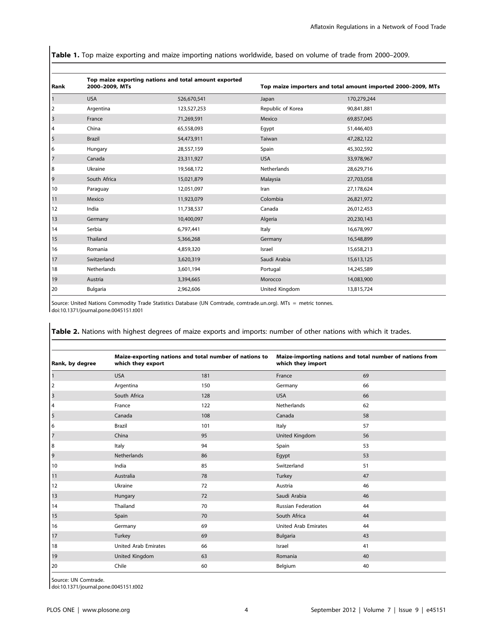Table 1. Top maize exporting and maize importing nations worldwide, based on volume of trade from 2000–2009.

| Rank | 2000-2009, MTs  | Top maize exporting nations and total amount exported | Top maize importers and total amount imported 2000-2009, MTs |             |
|------|-----------------|-------------------------------------------------------|--------------------------------------------------------------|-------------|
|      | <b>USA</b>      | 526,670,541                                           | Japan                                                        | 170,279,244 |
| 2    | Argentina       | 123,527,253                                           | Republic of Korea                                            | 90,841,881  |
| 3    | France          | 71,269,591                                            | Mexico                                                       | 69,857,045  |
| 4    | China           | 65,558,093                                            | Egypt                                                        | 51,446,403  |
| 5    | <b>Brazil</b>   | 54,473,911                                            | Taiwan                                                       | 47,282,122  |
| 6    | Hungary         | 28,557,159                                            | Spain                                                        | 45,302,592  |
| 7    | Canada          | 23,311,927                                            | <b>USA</b>                                                   | 33,978,967  |
| 8    | Ukraine         | 19,568,172                                            | Netherlands                                                  | 28,629,716  |
| 9    | South Africa    | 15,021,879                                            | Malaysia                                                     | 27,703,058  |
| 10   | Paraguay        | 12,051,097                                            | Iran                                                         | 27,178,624  |
| 11   | Mexico          | 11,923,079                                            | Colombia                                                     | 26,821,972  |
| 12   | India           | 11,738,537                                            | Canada                                                       | 26,012,453  |
| 13   | Germany         | 10,400,097                                            | Algeria                                                      | 20,230,143  |
| 14   | Serbia          | 6,797,441                                             | Italy                                                        | 16,678,997  |
| 15   | Thailand        | 5,366,268                                             | Germany                                                      | 16,548,899  |
| 16   | Romania         | 4,859,320                                             | Israel                                                       | 15,658,213  |
| 17   | Switzerland     | 3,620,319                                             | Saudi Arabia                                                 | 15,613,125  |
| 18   | Netherlands     | 3,601,194                                             | Portugal                                                     | 14,245,589  |
| 19   | Austria         | 3,394,665                                             | Morocco                                                      | 14,083,900  |
| 20   | <b>Bulgaria</b> | 2,962,606                                             | United Kingdom                                               | 13,815,724  |

Source: United Nations Commodity Trade Statistics Database (UN Comtrade, comtrade.un.org). MTs = metric tonnes. doi:10.1371/journal.pone.0045151.t001

Rank, by degree Maize-exporting nations and total number of nations to which they export Maize-importing nations and total number of nations from which they import 1 de desde la USA de la 181 de la 181 de la 181 de la 181 de la 181 de la 181 de la 181 de la 181 de la 181 de 2 Argentina 150 Germany 66 3 South Africa 128 USA 66 4 **France 122** Netherlands 62 5 Canada Canada 108 Canada 58 Canada 58 Canada 58 Canada 59 Canada 59 Canada 59 C 6 Brazil 101 Italy 57 **7** China China 95 United Kingdom 56 8 Italy 94 Spain 53 9 Netherlands 86 Egypt 53 10 India 10 India 10 and 51 and 51 and 51 and 51 and 51 and 51 and 51 and 51 and 51 and 51 and 51 and 51 and 51 11 Australia 10 Australia 11 Australia 11 Australia 11 Australia 11 Australia 11 Australia 12 Australia 12 Au 12 Ukraine 72 Austria 46 13 Hungary 72 Saudi Arabia 46 14 Thailand 70 Russian Federation 44 15 Spain 3 Spain 20 Spain 20 South Africa 344 Spain 344 Spain 344 Spain 344 Spain 344 Spain 344 Spain 344 Spain 16 Germany 69 United Arab Emirates 44 17 Turkey 69 Bulgaria 43 18 United Arab Emirates 66 Israel 41 19 United Kingdom 63 Romania 40 20 Chile 60 Belgium 40

Table 2. Nations with highest degrees of maize exports and imports: number of other nations with which it trades.

Source: UN Comtrade.

doi:10.1371/journal.pone.0045151.t002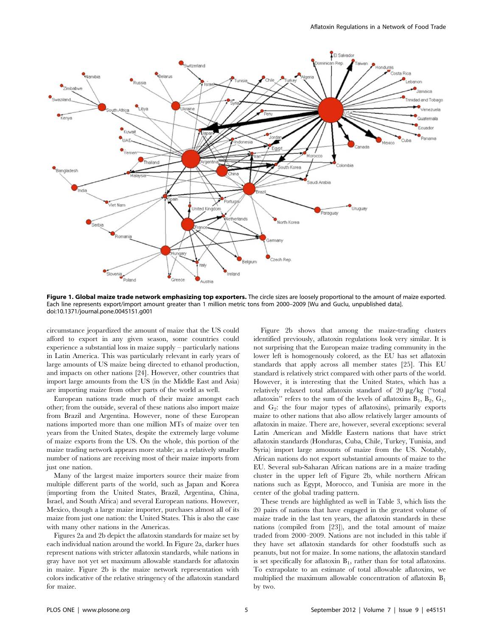

Figure 1. Global maize trade network emphasizing top exporters. The circle sizes are loosely proportional to the amount of maize exported. Each line represents export/import amount greater than 1 million metric tons from 2000–2009 [Wu and Guclu, unpublished data]. doi:10.1371/journal.pone.0045151.g001

circumstance jeopardized the amount of maize that the US could afford to export in any given season, some countries could experience a substantial loss in maize supply – particularly nations in Latin America. This was particularly relevant in early years of large amounts of US maize being directed to ethanol production, and impacts on other nations [24]. However, other countries that import large amounts from the US (in the Middle East and Asia) are importing maize from other parts of the world as well.

European nations trade much of their maize amongst each other; from the outside, several of these nations also import maize from Brazil and Argentina. However, none of these European nations imported more than one million MTs of maize over ten years from the United States, despite the extremely large volume of maize exports from the US. On the whole, this portion of the maize trading network appears more stable; as a relatively smaller number of nations are receiving most of their maize imports from just one nation.

Many of the largest maize importers source their maize from multiple different parts of the world, such as Japan and Korea (importing from the United States, Brazil, Argentina, China, Israel, and South Africa) and several European nations. However, Mexico, though a large maize importer, purchases almost all of its maize from just one nation: the United States. This is also the case with many other nations in the Americas.

Figures 2a and 2b depict the aflatoxin standards for maize set by each individual nation around the world. In Figure 2a, darker hues represent nations with stricter aflatoxin standards, while nations in gray have not yet set maximum allowable standards for aflatoxin in maize. Figure 2b is the maize network representation with colors indicative of the relative stringency of the aflatoxin standard for maize.

Figure 2b shows that among the maize-trading clusters identified previously, aflatoxin regulations look very similar. It is not surprising that the European maize trading community in the lower left is homogenously colored, as the EU has set aflatoxin standards that apply across all member states [25]. This EU standard is relatively strict compared with other parts of the world. However, it is interesting that the United States, which has a relatively relaxed total aflatoxin standard of 20 mg/kg (''total aflatoxin" refers to the sum of the levels of aflatoxins  $B_1$ ,  $B_2$ ,  $G_1$ , and  $G_2$ : the four major types of aflatoxins), primarily exports maize to other nations that also allow relatively larger amounts of aflatoxin in maize. There are, however, several exceptions: several Latin American and Middle Eastern nations that have strict aflatoxin standards (Honduras, Cuba, Chile, Turkey, Tunisia, and Syria) import large amounts of maize from the US. Notably, African nations do not export substantial amounts of maize to the EU. Several sub-Saharan African nations are in a maize trading cluster in the upper left of Figure 2b, while northern African nations such as Egypt, Morocco, and Tunisia are more in the center of the global trading pattern.

These trends are highlighted as well in Table 3, which lists the 20 pairs of nations that have engaged in the greatest volume of maize trade in the last ten years, the aflatoxin standards in these nations (compiled from [23]), and the total amount of maize traded from 2000–2009. Nations are not included in this table if they have set aflatoxin standards for other foodstuffs such as peanuts, but not for maize. In some nations, the aflatoxin standard is set specifically for aflatoxin  $B_1$ , rather than for total aflatoxins. To extrapolate to an estimate of total allowable aflatoxins, we multiplied the maximum allowable concentration of aflatoxin  $B_1$ by two.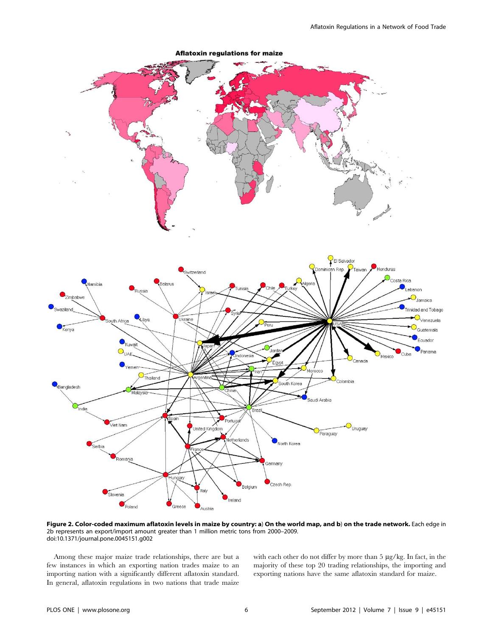

Figure 2. Color-coded maximum aflatoxin levels in maize by country: a) On the world map, and b) on the trade network. Each edge in 2b represents an export/import amount greater than 1 million metric tons from 2000–2009. doi:10.1371/journal.pone.0045151.g002

Among these major maize trade relationships, there are but a few instances in which an exporting nation trades maize to an importing nation with a significantly different aflatoxin standard. In general, aflatoxin regulations in two nations that trade maize with each other do not differ by more than 5 µg/kg. In fact, in the majority of these top 20 trading relationships, the importing and exporting nations have the same aflatoxin standard for maize.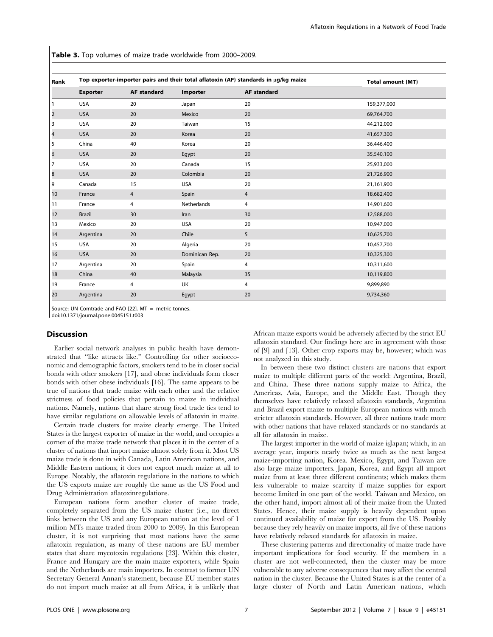Table 3. Top volumes of maize trade worldwide from 2000-2009.

| Rank                    | Top exporter-importer pairs and their total aflatoxin (AF) standards in $\mu$ g/kg maize |                    |                |                    | <b>Total amount (MT)</b> |
|-------------------------|------------------------------------------------------------------------------------------|--------------------|----------------|--------------------|--------------------------|
|                         | <b>Exporter</b>                                                                          | <b>AF standard</b> | Importer       | <b>AF standard</b> |                          |
| $\mathbf{1}$            | <b>USA</b>                                                                               | 20                 | Japan          | 20                 | 159,377,000              |
| $\overline{2}$          | <b>USA</b>                                                                               | 20                 | Mexico         | 20                 | 69,764,700               |
| 3                       | <b>USA</b>                                                                               | 20                 | Taiwan         | 15                 | 44,212,000               |
| $\overline{\mathbf{r}}$ | <b>USA</b>                                                                               | 20                 | Korea          | 20                 | 41,657,300               |
| 5                       | China                                                                                    | 40                 | Korea          | 20                 | 36,446,400               |
| 6                       | <b>USA</b>                                                                               | 20                 | Egypt          | 20                 | 35,540,100               |
| 7                       | <b>USA</b>                                                                               | 20                 | Canada         | 15                 | 25,933,000               |
| 8                       | <b>USA</b>                                                                               | 20                 | Colombia       | 20                 | 21,726,900               |
| 9                       | Canada                                                                                   | 15                 | <b>USA</b>     | 20                 | 21,161,900               |
| 10                      | France                                                                                   | 4                  | Spain          | 4                  | 18,682,400               |
| 11                      | France                                                                                   | 4                  | Netherlands    | 4                  | 14,901,600               |
| 12                      | <b>Brazil</b>                                                                            | 30                 | Iran           | 30                 | 12,588,000               |
| 13                      | Mexico                                                                                   | 20                 | <b>USA</b>     | 20                 | 10,947,000               |
| 14                      | Argentina                                                                                | 20                 | Chile          | 5                  | 10,625,700               |
| 15                      | <b>USA</b>                                                                               | 20                 | Algeria        | 20                 | 10,457,700               |
| 16                      | <b>USA</b>                                                                               | 20                 | Dominican Rep. | 20                 | 10,325,300               |
| 17                      | Argentina                                                                                | 20                 | Spain          | 4                  | 10,311,600               |
| 18                      | China                                                                                    | 40                 | Malaysia       | 35                 | 10,119,800               |
| 19                      | France                                                                                   | 4                  | UK             | 4                  | 9,899,890                |
| 20                      | Argentina                                                                                | 20                 | Egypt          | 20                 | 9,734,360                |

Source: UN Comtrade and FAO [22]. MT = metric tonnes.

doi:10.1371/journal.pone.0045151.t003

#### **Discussion**

Earlier social network analyses in public health have demonstrated that ''like attracts like.'' Controlling for other socioeconomic and demographic factors, smokers tend to be in closer social bonds with other smokers [17], and obese individuals form closer bonds with other obese individuals [16]. The same appears to be true of nations that trade maize with each other and the relative strictness of food policies that pertain to maize in individual nations. Namely, nations that share strong food trade ties tend to have similar regulations on allowable levels of aflatoxin in maize.

Certain trade clusters for maize clearly emerge. The United States is the largest exporter of maize in the world, and occupies a corner of the maize trade network that places it in the center of a cluster of nations that import maize almost solely from it. Most US maize trade is done in with Canada, Latin American nations, and Middle Eastern nations; it does not export much maize at all to Europe. Notably, the aflatoxin regulations in the nations to which the US exports maize are roughly the same as the US Food and Drug Administration aflatoxinregulations.

European nations form another cluster of maize trade, completely separated from the US maize cluster (i.e., no direct links between the US and any European nation at the level of 1 million MTs maize traded from 2000 to 2009). In this European cluster, it is not surprising that most nations have the same aflatoxin regulation, as many of these nations are EU member states that share mycotoxin regulations [23]. Within this cluster, France and Hungary are the main maize exporters, while Spain and the Netherlands are main importers. In contrast to former UN Secretary General Annan's statement, because EU member states do not import much maize at all from Africa, it is unlikely that

African maize exports would be adversely affected by the strict EU aflatoxin standard. Our findings here are in agreement with those of [9] and [13]. Other crop exports may be, however; which was not analyzed in this study.

In between these two distinct clusters are nations that export maize to multiple different parts of the world: Argentina, Brazil, and China. These three nations supply maize to Africa, the Americas, Asia, Europe, and the Middle East. Though they themselves have relatively relaxed aflatoxin standards, Argentina and Brazil export maize to multiple European nations with much stricter aflatoxin standards. However, all three nations trade more with other nations that have relaxed standards or no standards at all for aflatoxin in maize.

The largest importer in the world of maize isJapan; which, in an average year, imports nearly twice as much as the next largest maize-importing nation, Korea. Mexico, Egypt, and Taiwan are also large maize importers. Japan, Korea, and Egypt all import maize from at least three different continents; which makes them less vulnerable to maize scarcity if maize supplies for export become limited in one part of the world. Taiwan and Mexico, on the other hand, import almost all of their maize from the United States. Hence, their maize supply is heavily dependent upon continued availability of maize for export from the US. Possibly because they rely heavily on maize imports, all five of these nations have relatively relaxed standards for aflatoxin in maize.

These clustering patterns and directionality of maize trade have important implications for food security. If the members in a cluster are not well-connected, then the cluster may be more vulnerable to any adverse consequences that may affect the central nation in the cluster. Because the United States is at the center of a large cluster of North and Latin American nations, which